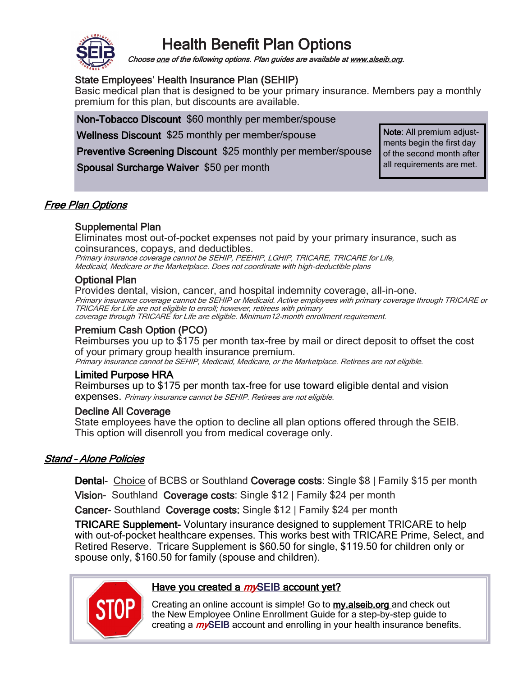# Health Benefit Plan Options



Choose one of the following options. Plan guides are available at www.alseib.org.

## State Employees' Health Insurance Plan (SEHIP)

Basic medical plan that is designed to be your primary insurance. Members pay a monthly premium for this plan, but discounts are available.

Non-Tobacco Discount \$60 monthly per member/spouse

Wellness Discount \$25 monthly per member/spouse

Preventive Screening Discount \$25 monthly per member/spouse

Spousal Surcharge Waiver \$50 per month

Note: All premium adjustments begin the first day of the second month after all requirements are met.

## Free Plan Options

### Supplemental Plan

Eliminates most out-of-pocket expenses not paid by your primary insurance, such as coinsurances, copays, and deductibles.

Primary insurance coverage cannot be SEHIP, PEEHIP, LGHIP, TRICARE, TRICARE for Life, Medicaid, Medicare or the Marketplace. Does not coordinate with high-deductible plans

#### Optional Plan

Provides dental, vision, cancer, and hospital indemnity coverage, all-in-one. Primary insurance coverage cannot be SEHIP or Medicaid. Active employees with primary coverage through TRICARE or TRICARE for Life are not eligible to enroll; however, retirees with primary coverage through TRICARE for Life are eligible. Minimum12-month enrollment requirement.

## Premium Cash Option (PCO)

Reimburses you up to \$175 per month tax-free by mail or direct deposit to offset the cost of your primary group health insurance premium.

## Primary insurance cannot be SEHIP, Medicaid, Medicare, or the Marketplace. Retirees are not eligible.

#### Limited Purpose HRA

Reimburses up to \$175 per month tax-free for use toward eligible dental and vision expenses. Primary insurance cannot be SEHIP. Retirees are not eligible.

#### Decline All Coverage

State employees have the option to decline all plan options offered through the SEIB. This option will disenroll you from medical coverage only.

## Stand – Alone Policies

Dental- Choice of BCBS or Southland Coverage costs: Single \$8 | Family \$15 per month

Vision- Southland Coverage costs: Single \$12 | Family \$24 per month

Cancer- Southland Coverage costs: Single \$12 | Family \$24 per month

TRICARE Supplement- Voluntary insurance designed to supplement TRICARE to help with out-of-pocket healthcare expenses. This works best with TRICARE Prime, Select, and Retired Reserve. Tricare Supplement is \$60.50 for single, \$119.50 for children only or spouse only, \$160.50 for family (spouse and children).



#### Have you created a *my*SEIB account yet?

Creating an online account is simple! Go to my.alseib.org and check out the New Employee Online Enrollment Guide for a step-by-step guide to creating a  $m$  $\beta$ EIB account and enrolling in your health insurance benefits.